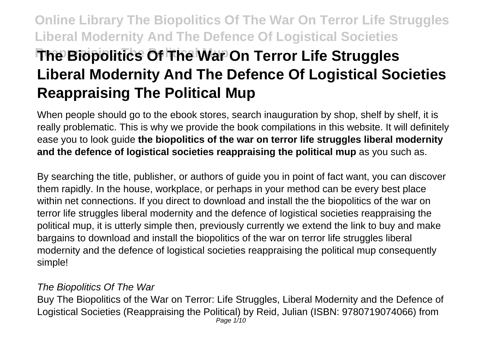# **Online Library The Biopolitics Of The War On Terror Life Struggles Liberal Modernity And The Defence Of Logistical Societies The Biopolitics Of The War On Terror Life Struggles Liberal Modernity And The Defence Of Logistical Societies Reappraising The Political Mup**

When people should go to the ebook stores, search inauguration by shop, shelf by shelf, it is really problematic. This is why we provide the book compilations in this website. It will definitely ease you to look guide **the biopolitics of the war on terror life struggles liberal modernity and the defence of logistical societies reappraising the political mup** as you such as.

By searching the title, publisher, or authors of guide you in point of fact want, you can discover them rapidly. In the house, workplace, or perhaps in your method can be every best place within net connections. If you direct to download and install the the biopolitics of the war on terror life struggles liberal modernity and the defence of logistical societies reappraising the political mup, it is utterly simple then, previously currently we extend the link to buy and make bargains to download and install the biopolitics of the war on terror life struggles liberal modernity and the defence of logistical societies reappraising the political mup consequently simple!

#### The Biopolitics Of The War

Buy The Biopolitics of the War on Terror: Life Struggles, Liberal Modernity and the Defence of Logistical Societies (Reappraising the Political) by Reid, Julian (ISBN: 9780719074066) from Page 1/10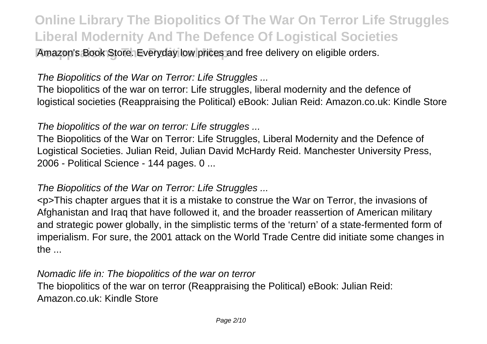**Amazon's Book Store. Everyday low prices and free delivery on eligible orders.** 

### The Biopolitics of the War on Terror: Life Struggles ...

The biopolitics of the war on terror: Life struggles, liberal modernity and the defence of logistical societies (Reappraising the Political) eBook: Julian Reid: Amazon.co.uk: Kindle Store

#### The biopolitics of the war on terror: Life struggles ...

The Biopolitics of the War on Terror: Life Struggles, Liberal Modernity and the Defence of Logistical Societies. Julian Reid, Julian David McHardy Reid. Manchester University Press, 2006 - Political Science - 144 pages. 0 ...

#### The Biopolitics of the War on Terror: Life Struggles ...

<p>This chapter argues that it is a mistake to construe the War on Terror, the invasions of Afghanistan and Iraq that have followed it, and the broader reassertion of American military and strategic power globally, in the simplistic terms of the 'return' of a state-fermented form of imperialism. For sure, the 2001 attack on the World Trade Centre did initiate some changes in the ...

Nomadic life in: The biopolitics of the war on terror The biopolitics of the war on terror (Reappraising the Political) eBook: Julian Reid: Amazon.co.uk: Kindle Store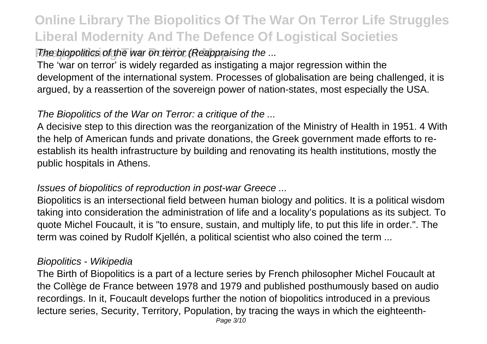### The biopolitics of the war on terror (Reappraising the ...

The 'war on terror' is widely regarded as instigating a major regression within the development of the international system. Processes of globalisation are being challenged, it is argued, by a reassertion of the sovereign power of nation-states, most especially the USA.

### The Biopolitics of the War on Terror: a critique of the ...

A decisive step to this direction was the reorganization of the Ministry of Health in 1951. 4 With the help of American funds and private donations, the Greek government made efforts to reestablish its health infrastructure by building and renovating its health institutions, mostly the public hospitals in Athens.

#### Issues of biopolitics of reproduction in post-war Greece ...

Biopolitics is an intersectional field between human biology and politics. It is a political wisdom taking into consideration the administration of life and a locality's populations as its subject. To quote Michel Foucault, it is "to ensure, sustain, and multiply life, to put this life in order.". The term was coined by Rudolf Kjellén, a political scientist who also coined the term ...

#### Biopolitics - Wikipedia

The Birth of Biopolitics is a part of a lecture series by French philosopher Michel Foucault at the Collège de France between 1978 and 1979 and published posthumously based on audio recordings. In it, Foucault develops further the notion of biopolitics introduced in a previous lecture series, Security, Territory, Population, by tracing the ways in which the eighteenth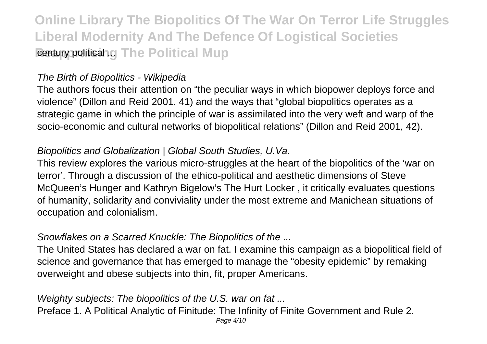**Online Library The Biopolitics Of The War On Terror Life Struggles Liberal Modernity And The Defence Of Logistical Societies Reappraision Che Political Mup** 

#### The Birth of Biopolitics - Wikipedia

The authors focus their attention on "the peculiar ways in which biopower deploys force and violence" (Dillon and Reid 2001, 41) and the ways that "global biopolitics operates as a strategic game in which the principle of war is assimilated into the very weft and warp of the socio-economic and cultural networks of biopolitical relations" (Dillon and Reid 2001, 42).

#### Biopolitics and Globalization | Global South Studies, U.Va.

This review explores the various micro-struggles at the heart of the biopolitics of the 'war on terror'. Through a discussion of the ethico-political and aesthetic dimensions of Steve McQueen's Hunger and Kathryn Bigelow's The Hurt Locker , it critically evaluates questions of humanity, solidarity and conviviality under the most extreme and Manichean situations of occupation and colonialism.

#### Snowflakes on a Scarred Knuckle: The Biopolitics of the ...

The United States has declared a war on fat. I examine this campaign as a biopolitical field of science and governance that has emerged to manage the "obesity epidemic" by remaking overweight and obese subjects into thin, fit, proper Americans.

#### Weighty subjects: The biopolitics of the U.S. war on fat ... Preface 1. A Political Analytic of Finitude: The Infinity of Finite Government and Rule 2. Page 4/10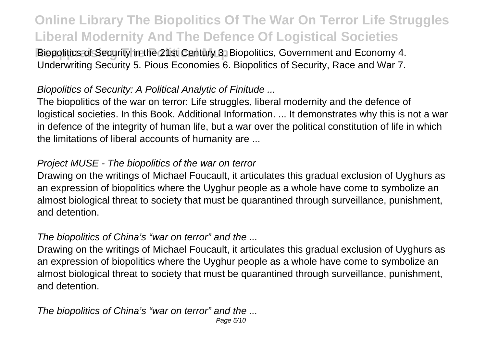**Biopolitics of Security in the 21st Century 3. Biopolitics. Government and Economy 4.** Underwriting Security 5. Pious Economies 6. Biopolitics of Security, Race and War 7.

#### Biopolitics of Security: A Political Analytic of Finitude ...

The biopolitics of the war on terror: Life struggles, liberal modernity and the defence of logistical societies. In this Book. Additional Information. ... It demonstrates why this is not a war in defence of the integrity of human life, but a war over the political constitution of life in which the limitations of liberal accounts of humanity are ...

#### Project MUSE - The biopolitics of the war on terror

Drawing on the writings of Michael Foucault, it articulates this gradual exclusion of Uyghurs as an expression of biopolitics where the Uyghur people as a whole have come to symbolize an almost biological threat to society that must be quarantined through surveillance, punishment, and detention.

#### The biopolitics of China's "war on terror" and the ...

Drawing on the writings of Michael Foucault, it articulates this gradual exclusion of Uyghurs as an expression of biopolitics where the Uyghur people as a whole have come to symbolize an almost biological threat to society that must be quarantined through surveillance, punishment, and detention.

The biopolitics of China's "war on terror" and the ... Page 5/10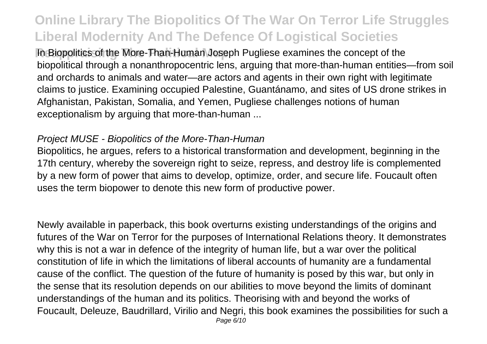**In Biopolitics of the More-Than-Human Joseph Pugliese examines the concept of the** biopolitical through a nonanthropocentric lens, arguing that more-than-human entities—from soil and orchards to animals and water—are actors and agents in their own right with legitimate claims to justice. Examining occupied Palestine, Guantánamo, and sites of US drone strikes in Afghanistan, Pakistan, Somalia, and Yemen, Pugliese challenges notions of human exceptionalism by arguing that more-than-human ...

#### Project MUSE - Biopolitics of the More-Than-Human

Biopolitics, he argues, refers to a historical transformation and development, beginning in the 17th century, whereby the sovereign right to seize, repress, and destroy life is complemented by a new form of power that aims to develop, optimize, order, and secure life. Foucault often uses the term biopower to denote this new form of productive power.

Newly available in paperback, this book overturns existing understandings of the origins and futures of the War on Terror for the purposes of International Relations theory. It demonstrates why this is not a war in defence of the integrity of human life, but a war over the political constitution of life in which the limitations of liberal accounts of humanity are a fundamental cause of the conflict. The question of the future of humanity is posed by this war, but only in the sense that its resolution depends on our abilities to move beyond the limits of dominant understandings of the human and its politics. Theorising with and beyond the works of Foucault, Deleuze, Baudrillard, Virilio and Negri, this book examines the possibilities for such a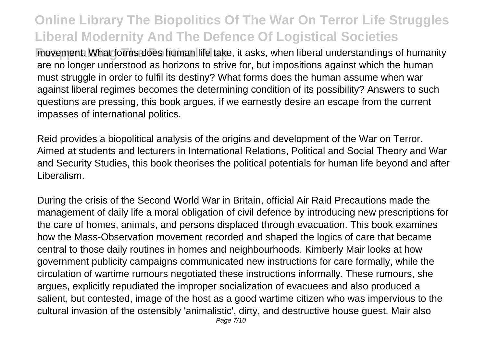**Reappraising Musta movement. What forms does human life take, it asks, when liberal understandings of humanity** are no longer understood as horizons to strive for, but impositions against which the human must struggle in order to fulfil its destiny? What forms does the human assume when war against liberal regimes becomes the determining condition of its possibility? Answers to such questions are pressing, this book argues, if we earnestly desire an escape from the current impasses of international politics.

Reid provides a biopolitical analysis of the origins and development of the War on Terror. Aimed at students and lecturers in International Relations, Political and Social Theory and War and Security Studies, this book theorises the political potentials for human life beyond and after Liberalism.

During the crisis of the Second World War in Britain, official Air Raid Precautions made the management of daily life a moral obligation of civil defence by introducing new prescriptions for the care of homes, animals, and persons displaced through evacuation. This book examines how the Mass-Observation movement recorded and shaped the logics of care that became central to those daily routines in homes and neighbourhoods. Kimberly Mair looks at how government publicity campaigns communicated new instructions for care formally, while the circulation of wartime rumours negotiated these instructions informally. These rumours, she argues, explicitly repudiated the improper socialization of evacuees and also produced a salient, but contested, image of the host as a good wartime citizen who was impervious to the cultural invasion of the ostensibly 'animalistic', dirty, and destructive house guest. Mair also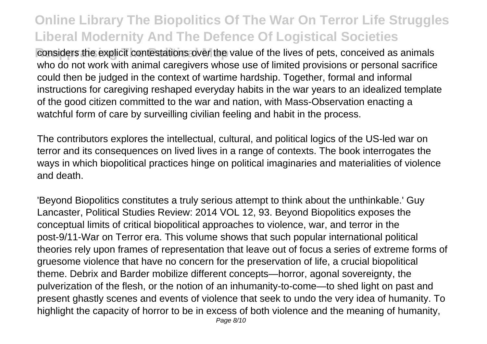considers the explicit contestations over the value of the lives of pets, conceived as animals who do not work with animal caregivers whose use of limited provisions or personal sacrifice could then be judged in the context of wartime hardship. Together, formal and informal instructions for caregiving reshaped everyday habits in the war years to an idealized template of the good citizen committed to the war and nation, with Mass-Observation enacting a watchful form of care by surveilling civilian feeling and habit in the process.

The contributors explores the intellectual, cultural, and political logics of the US-led war on terror and its consequences on lived lives in a range of contexts. The book interrogates the ways in which biopolitical practices hinge on political imaginaries and materialities of violence and death.

'Beyond Biopolitics constitutes a truly serious attempt to think about the unthinkable.' Guy Lancaster, Political Studies Review: 2014 VOL 12, 93. Beyond Biopolitics exposes the conceptual limits of critical biopolitical approaches to violence, war, and terror in the post-9/11-War on Terror era. This volume shows that such popular international political theories rely upon frames of representation that leave out of focus a series of extreme forms of gruesome violence that have no concern for the preservation of life, a crucial biopolitical theme. Debrix and Barder mobilize different concepts—horror, agonal sovereignty, the pulverization of the flesh, or the notion of an inhumanity-to-come—to shed light on past and present ghastly scenes and events of violence that seek to undo the very idea of humanity. To highlight the capacity of horror to be in excess of both violence and the meaning of humanity,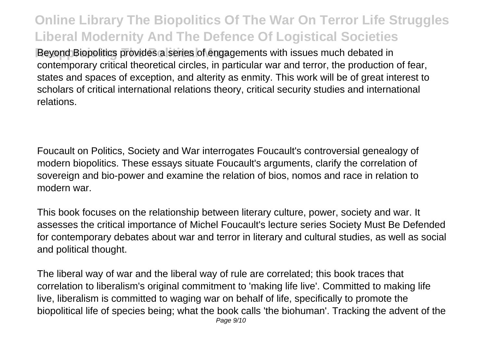**Reyond Biopolitics provides a series of engagements with issues much debated in** contemporary critical theoretical circles, in particular war and terror, the production of fear, states and spaces of exception, and alterity as enmity. This work will be of great interest to scholars of critical international relations theory, critical security studies and international relations.

Foucault on Politics, Society and War interrogates Foucault's controversial genealogy of modern biopolitics. These essays situate Foucault's arguments, clarify the correlation of sovereign and bio-power and examine the relation of bios, nomos and race in relation to modern war.

This book focuses on the relationship between literary culture, power, society and war. It assesses the critical importance of Michel Foucault's lecture series Society Must Be Defended for contemporary debates about war and terror in literary and cultural studies, as well as social and political thought.

The liberal way of war and the liberal way of rule are correlated; this book traces that correlation to liberalism's original commitment to 'making life live'. Committed to making life live, liberalism is committed to waging war on behalf of life, specifically to promote the biopolitical life of species being; what the book calls 'the biohuman'. Tracking the advent of the